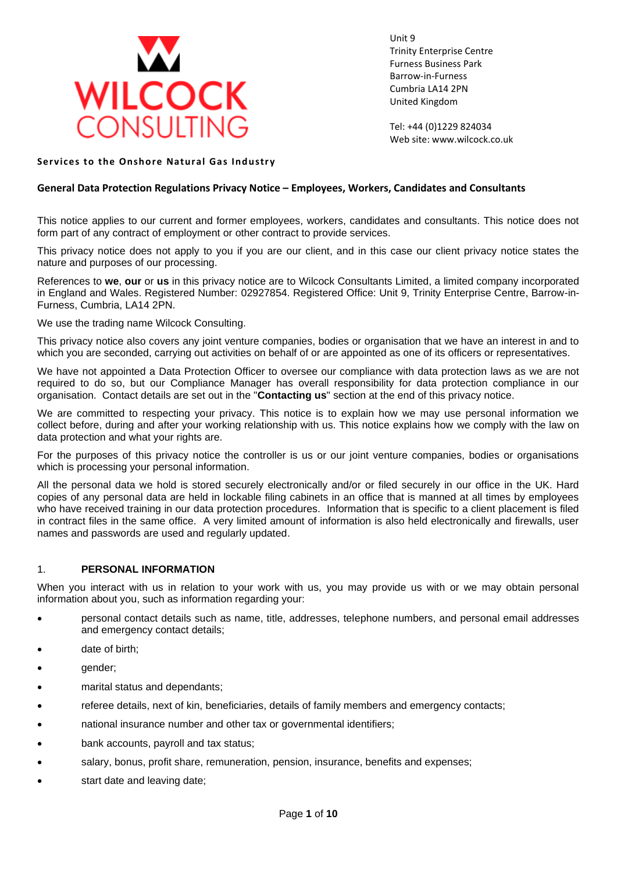

Unit 9 Trinity Enterprise Centre Furness Business Park Barrow-in-Furness Cumbria LA14 2PN United Kingdom

Tel: +44 (0)1229 824034 Web site: www.wilcock.co.uk

### **Services to the Onshore Natural Gas Industry**

### **General Data Protection Regulations Privacy Notice – Employees, Workers, Candidates and Consultants**

This notice applies to our current and former employees, workers, candidates and consultants. This notice does not form part of any contract of employment or other contract to provide services.

This privacy notice does not apply to you if you are our client, and in this case our client privacy notice states the nature and purposes of our processing.

References to **we**, **our** or **us** in this privacy notice are to Wilcock Consultants Limited, a limited company incorporated in England and Wales. Registered Number: 02927854. Registered Office: Unit 9, Trinity Enterprise Centre, Barrow-in-Furness, Cumbria, LA14 2PN.

We use the trading name Wilcock Consulting.

This privacy notice also covers any joint venture companies, bodies or organisation that we have an interest in and to which you are seconded, carrying out activities on behalf of or are appointed as one of its officers or representatives.

We have not appointed a Data Protection Officer to oversee our compliance with data protection laws as we are not required to do so, but our Compliance Manager has overall responsibility for data protection compliance in our organisation. Contact details are set out in the "**Contacting us**" section at the end of this privacy notice.

We are committed to respecting your privacy. This notice is to explain how we may use personal information we collect before, during and after your working relationship with us. This notice explains how we comply with the law on data protection and what your rights are.

For the purposes of this privacy notice the controller is us or our joint venture companies, bodies or organisations which is processing your personal information.

All the personal data we hold is stored securely electronically and/or or filed securely in our office in the UK. Hard copies of any personal data are held in lockable filing cabinets in an office that is manned at all times by employees who have received training in our data protection procedures. Information that is specific to a client placement is filed in contract files in the same office. A very limited amount of information is also held electronically and firewalls, user names and passwords are used and regularly updated.

#### 1. **PERSONAL INFORMATION**

When you interact with us in relation to your work with us, you may provide us with or we may obtain personal information about you, such as information regarding your:

- personal contact details such as name, title, addresses, telephone numbers, and personal email addresses and emergency contact details;
- date of birth;
- gender;
- marital status and dependants;
- referee details, next of kin, beneficiaries, details of family members and emergency contacts;
- national insurance number and other tax or governmental identifiers;
- bank accounts, payroll and tax status;
- salary, bonus, profit share, remuneration, pension, insurance, benefits and expenses;
- start date and leaving date;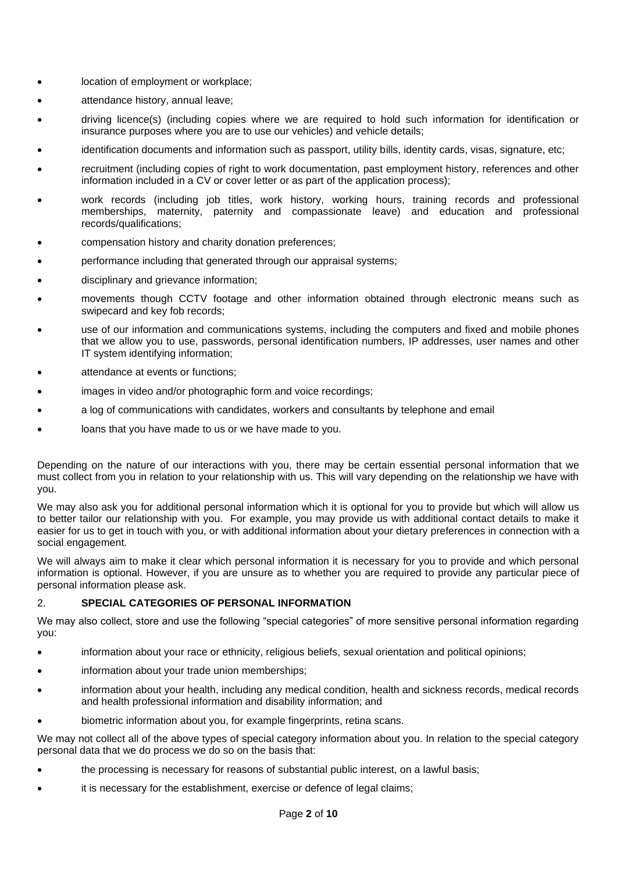- location of employment or workplace;
- attendance history, annual leave;
- driving licence(s) (including copies where we are required to hold such information for identification or insurance purposes where you are to use our vehicles) and vehicle details;
- identification documents and information such as passport, utility bills, identity cards, visas, signature, etc;
- recruitment (including copies of right to work documentation, past employment history, references and other information included in a CV or cover letter or as part of the application process);
- work records (including job titles, work history, working hours, training records and professional memberships, maternity, paternity and compassionate leave) and education and professional records/qualifications;
- compensation history and charity donation preferences;
- performance including that generated through our appraisal systems;
- disciplinary and grievance information;
- movements though CCTV footage and other information obtained through electronic means such as swipecard and key fob records;
- use of our information and communications systems, including the computers and fixed and mobile phones that we allow you to use, passwords, personal identification numbers, IP addresses, user names and other IT system identifying information;
- attendance at events or functions:
- images in video and/or photographic form and voice recordings;
- a log of communications with candidates, workers and consultants by telephone and email
- loans that you have made to us or we have made to you.

Depending on the nature of our interactions with you, there may be certain essential personal information that we must collect from you in relation to your relationship with us. This will vary depending on the relationship we have with you.

We may also ask you for additional personal information which it is optional for you to provide but which will allow us to better tailor our relationship with you. For example, you may provide us with additional contact details to make it easier for us to get in touch with you, or with additional information about your dietary preferences in connection with a social engagement.

We will always aim to make it clear which personal information it is necessary for you to provide and which personal information is optional. However, if you are unsure as to whether you are required to provide any particular piece of personal information please ask.

## 2. **SPECIAL CATEGORIES OF PERSONAL INFORMATION**

We may also collect, store and use the following "special categories" of more sensitive personal information regarding you:

- information about your race or ethnicity, religious beliefs, sexual orientation and political opinions;
- information about your trade union memberships;
- information about your health, including any medical condition, health and sickness records, medical records and health professional information and disability information; and
- biometric information about you, for example fingerprints, retina scans.

We may not collect all of the above types of special category information about you. In relation to the special category personal data that we do process we do so on the basis that:

- the processing is necessary for reasons of substantial public interest, on a lawful basis;
- it is necessary for the establishment, exercise or defence of legal claims;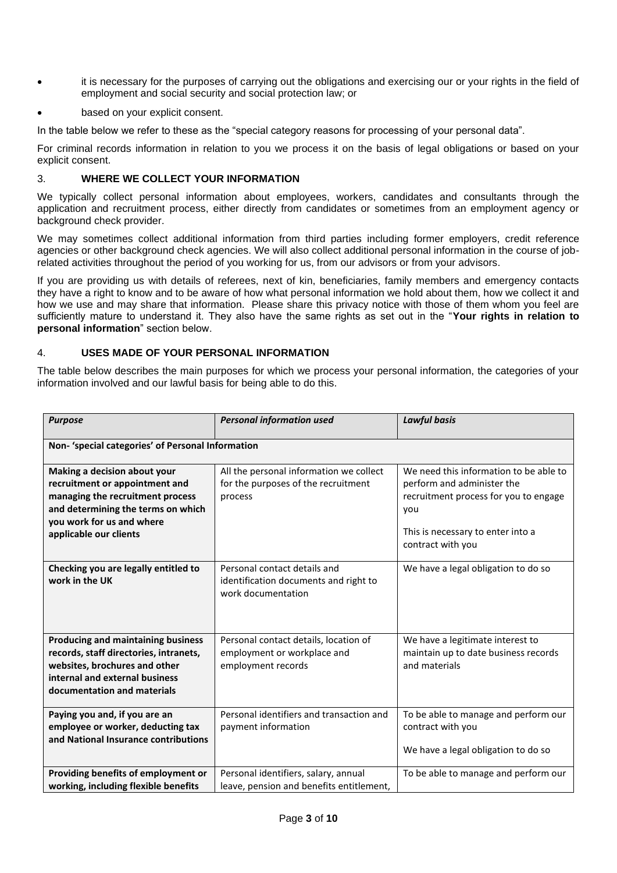- it is necessary for the purposes of carrying out the obligations and exercising our or your rights in the field of employment and social security and social protection law; or
- based on your explicit consent.

In the table below we refer to these as the "special category reasons for processing of your personal data".

For criminal records information in relation to you we process it on the basis of legal obligations or based on your explicit consent.

# 3. **WHERE WE COLLECT YOUR INFORMATION**

We typically collect personal information about employees, workers, candidates and consultants through the application and recruitment process, either directly from candidates or sometimes from an employment agency or background check provider.

We may sometimes collect additional information from third parties including former employers, credit reference agencies or other background check agencies. We will also collect additional personal information in the course of jobrelated activities throughout the period of you working for us, from our advisors or from your advisors.

If you are providing us with details of referees, next of kin, beneficiaries, family members and emergency contacts they have a right to know and to be aware of how what personal information we hold about them, how we collect it and how we use and may share that information. Please share this privacy notice with those of them whom you feel are sufficiently mature to understand it. They also have the same rights as set out in the "**Your rights in relation to personal information**" section below.

## 4. **USES MADE OF YOUR PERSONAL INFORMATION**

The table below describes the main purposes for which we process your personal information, the categories of your information involved and our lawful basis for being able to do this.

| <b>Purpose</b>                                                                                                                                                                                  | <b>Personal information used</b>                                                            | <b>Lawful basis</b>                                                                                                                                                            |  |
|-------------------------------------------------------------------------------------------------------------------------------------------------------------------------------------------------|---------------------------------------------------------------------------------------------|--------------------------------------------------------------------------------------------------------------------------------------------------------------------------------|--|
| Non- 'special categories' of Personal Information                                                                                                                                               |                                                                                             |                                                                                                                                                                                |  |
| Making a decision about your<br>recruitment or appointment and<br>managing the recruitment process<br>and determining the terms on which<br>you work for us and where<br>applicable our clients | All the personal information we collect<br>for the purposes of the recruitment<br>process   | We need this information to be able to<br>perform and administer the<br>recruitment process for you to engage<br>you<br>This is necessary to enter into a<br>contract with you |  |
| Checking you are legally entitled to<br>work in the UK                                                                                                                                          | Personal contact details and<br>identification documents and right to<br>work documentation | We have a legal obligation to do so                                                                                                                                            |  |
| <b>Producing and maintaining business</b><br>records, staff directories, intranets,<br>websites, brochures and other<br>internal and external business<br>documentation and materials           | Personal contact details, location of<br>employment or workplace and<br>employment records  | We have a legitimate interest to<br>maintain up to date business records<br>and materials                                                                                      |  |
| Paying you and, if you are an<br>employee or worker, deducting tax<br>and National Insurance contributions                                                                                      | Personal identifiers and transaction and<br>payment information                             | To be able to manage and perform our<br>contract with you<br>We have a legal obligation to do so                                                                               |  |
| Providing benefits of employment or<br>working, including flexible benefits                                                                                                                     | Personal identifiers, salary, annual<br>leave, pension and benefits entitlement,            | To be able to manage and perform our                                                                                                                                           |  |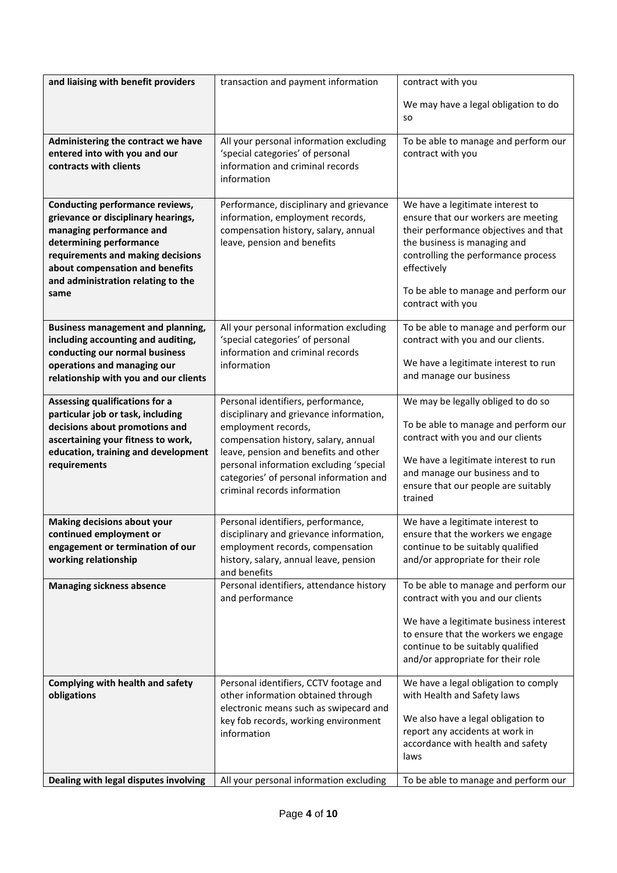| and liaising with benefit providers                                                                                                                                                                                                                 | transaction and payment information                                                                                                                                                                                                                                                                         | contract with you                                                                                                                                                                                                                                                   |
|-----------------------------------------------------------------------------------------------------------------------------------------------------------------------------------------------------------------------------------------------------|-------------------------------------------------------------------------------------------------------------------------------------------------------------------------------------------------------------------------------------------------------------------------------------------------------------|---------------------------------------------------------------------------------------------------------------------------------------------------------------------------------------------------------------------------------------------------------------------|
|                                                                                                                                                                                                                                                     |                                                                                                                                                                                                                                                                                                             | We may have a legal obligation to do                                                                                                                                                                                                                                |
|                                                                                                                                                                                                                                                     |                                                                                                                                                                                                                                                                                                             | <b>SO</b>                                                                                                                                                                                                                                                           |
| Administering the contract we have<br>entered into with you and our<br>contracts with clients                                                                                                                                                       | All your personal information excluding<br>'special categories' of personal<br>information and criminal records<br>information                                                                                                                                                                              | To be able to manage and perform our<br>contract with you                                                                                                                                                                                                           |
| Conducting performance reviews,<br>grievance or disciplinary hearings,<br>managing performance and<br>determining performance<br>requirements and making decisions<br>about compensation and benefits<br>and administration relating to the<br>same | Performance, disciplinary and grievance<br>information, employment records,<br>compensation history, salary, annual<br>leave, pension and benefits                                                                                                                                                          | We have a legitimate interest to<br>ensure that our workers are meeting<br>their performance objectives and that<br>the business is managing and<br>controlling the performance process<br>effectively<br>To be able to manage and perform our<br>contract with you |
| <b>Business management and planning,</b><br>including accounting and auditing,<br>conducting our normal business<br>operations and managing our<br>relationship with you and our clients                                                            | All your personal information excluding<br>'special categories' of personal<br>information and criminal records<br>information                                                                                                                                                                              | To be able to manage and perform our<br>contract with you and our clients.<br>We have a legitimate interest to run<br>and manage our business                                                                                                                       |
| Assessing qualifications for a<br>particular job or task, including<br>decisions about promotions and<br>ascertaining your fitness to work,<br>education, training and development<br>requirements                                                  | Personal identifiers, performance,<br>disciplinary and grievance information,<br>employment records,<br>compensation history, salary, annual<br>leave, pension and benefits and other<br>personal information excluding 'special<br>categories' of personal information and<br>criminal records information | We may be legally obliged to do so<br>To be able to manage and perform our<br>contract with you and our clients<br>We have a legitimate interest to run<br>and manage our business and to<br>ensure that our people are suitably<br>trained                         |
| <b>Making decisions about your</b><br>continued employment or<br>engagement or termination of our<br>working relationship                                                                                                                           | Personal identifiers, performance,<br>disciplinary and grievance information,<br>employment records, compensation<br>history, salary, annual leave, pension<br>and benefits                                                                                                                                 | We have a legitimate interest to<br>ensure that the workers we engage<br>continue to be suitably qualified<br>and/or appropriate for their role                                                                                                                     |
| <b>Managing sickness absence</b>                                                                                                                                                                                                                    | Personal identifiers, attendance history<br>and performance                                                                                                                                                                                                                                                 | To be able to manage and perform our<br>contract with you and our clients<br>We have a legitimate business interest<br>to ensure that the workers we engage<br>continue to be suitably qualified<br>and/or appropriate for their role                               |
| Complying with health and safety<br>obligations                                                                                                                                                                                                     | Personal identifiers, CCTV footage and<br>other information obtained through<br>electronic means such as swipecard and<br>key fob records, working environment<br>information                                                                                                                               | We have a legal obligation to comply<br>with Health and Safety laws<br>We also have a legal obligation to<br>report any accidents at work in<br>accordance with health and safety<br>laws                                                                           |
| Dealing with legal disputes involving                                                                                                                                                                                                               | All your personal information excluding                                                                                                                                                                                                                                                                     | To be able to manage and perform our                                                                                                                                                                                                                                |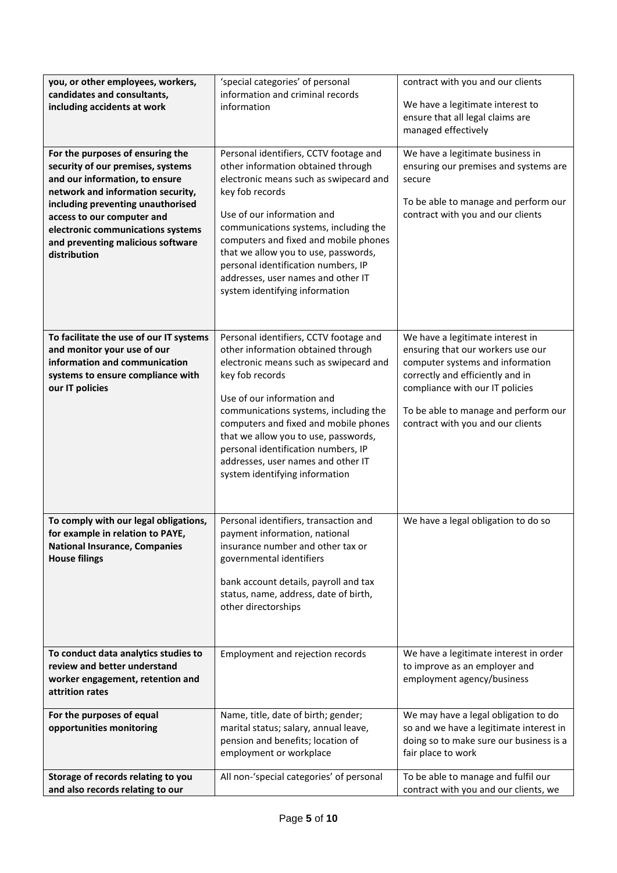| you, or other employees, workers,<br>candidates and consultants,<br>including accidents at work                                                                                                                                                                                                           | 'special categories' of personal<br>information and criminal records<br>information                                                                                                                                                                                                                                                                                                                              | contract with you and our clients<br>We have a legitimate interest to<br>ensure that all legal claims are<br>managed effectively                                                                                                                              |
|-----------------------------------------------------------------------------------------------------------------------------------------------------------------------------------------------------------------------------------------------------------------------------------------------------------|------------------------------------------------------------------------------------------------------------------------------------------------------------------------------------------------------------------------------------------------------------------------------------------------------------------------------------------------------------------------------------------------------------------|---------------------------------------------------------------------------------------------------------------------------------------------------------------------------------------------------------------------------------------------------------------|
| For the purposes of ensuring the<br>security of our premises, systems<br>and our information, to ensure<br>network and information security,<br>including preventing unauthorised<br>access to our computer and<br>electronic communications systems<br>and preventing malicious software<br>distribution | Personal identifiers, CCTV footage and<br>other information obtained through<br>electronic means such as swipecard and<br>key fob records<br>Use of our information and<br>communications systems, including the<br>computers and fixed and mobile phones<br>that we allow you to use, passwords,<br>personal identification numbers, IP<br>addresses, user names and other IT<br>system identifying information | We have a legitimate business in<br>ensuring our premises and systems are<br>secure<br>To be able to manage and perform our<br>contract with you and our clients                                                                                              |
| To facilitate the use of our IT systems<br>and monitor your use of our<br>information and communication<br>systems to ensure compliance with<br>our IT policies                                                                                                                                           | Personal identifiers, CCTV footage and<br>other information obtained through<br>electronic means such as swipecard and<br>key fob records<br>Use of our information and<br>communications systems, including the<br>computers and fixed and mobile phones<br>that we allow you to use, passwords,<br>personal identification numbers, IP<br>addresses, user names and other IT<br>system identifying information | We have a legitimate interest in<br>ensuring that our workers use our<br>computer systems and information<br>correctly and efficiently and in<br>compliance with our IT policies<br>To be able to manage and perform our<br>contract with you and our clients |
| To comply with our legal obligations,<br>for example in relation to PAYE,<br><b>National Insurance, Companies</b><br><b>House filings</b>                                                                                                                                                                 | Personal identifiers, transaction and<br>payment information, national<br>insurance number and other tax or<br>governmental identifiers<br>bank account details, payroll and tax<br>status, name, address, date of birth,<br>other directorships                                                                                                                                                                 | We have a legal obligation to do so                                                                                                                                                                                                                           |
| To conduct data analytics studies to<br>review and better understand<br>worker engagement, retention and<br>attrition rates                                                                                                                                                                               | Employment and rejection records                                                                                                                                                                                                                                                                                                                                                                                 | We have a legitimate interest in order<br>to improve as an employer and<br>employment agency/business                                                                                                                                                         |
| For the purposes of equal<br>opportunities monitoring                                                                                                                                                                                                                                                     | Name, title, date of birth; gender;<br>marital status; salary, annual leave,<br>pension and benefits; location of<br>employment or workplace                                                                                                                                                                                                                                                                     | We may have a legal obligation to do<br>so and we have a legitimate interest in<br>doing so to make sure our business is a<br>fair place to work                                                                                                              |
| Storage of records relating to you<br>and also records relating to our                                                                                                                                                                                                                                    | All non-'special categories' of personal                                                                                                                                                                                                                                                                                                                                                                         | To be able to manage and fulfil our<br>contract with you and our clients, we                                                                                                                                                                                  |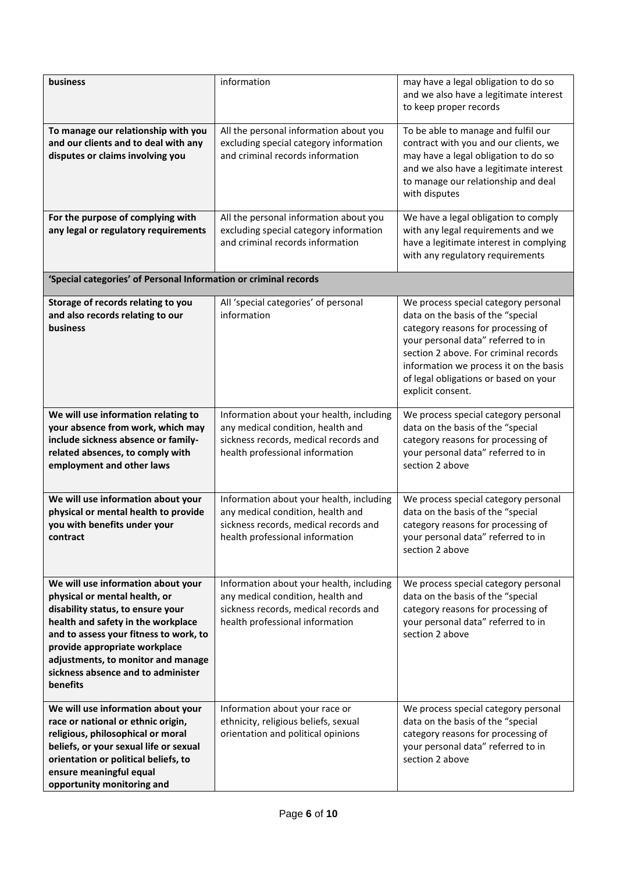| business                                                                                                                                                                                                                                                                                                          | information                                                                                                                                               | may have a legal obligation to do so<br>and we also have a legitimate interest<br>to keep proper records                                                                                                                                                                                               |
|-------------------------------------------------------------------------------------------------------------------------------------------------------------------------------------------------------------------------------------------------------------------------------------------------------------------|-----------------------------------------------------------------------------------------------------------------------------------------------------------|--------------------------------------------------------------------------------------------------------------------------------------------------------------------------------------------------------------------------------------------------------------------------------------------------------|
| To manage our relationship with you<br>and our clients and to deal with any<br>disputes or claims involving you                                                                                                                                                                                                   | All the personal information about you<br>excluding special category information<br>and criminal records information                                      | To be able to manage and fulfil our<br>contract with you and our clients, we<br>may have a legal obligation to do so<br>and we also have a legitimate interest<br>to manage our relationship and deal<br>with disputes                                                                                 |
| For the purpose of complying with<br>any legal or regulatory requirements                                                                                                                                                                                                                                         | All the personal information about you<br>excluding special category information<br>and criminal records information                                      | We have a legal obligation to comply<br>with any legal requirements and we<br>have a legitimate interest in complying<br>with any regulatory requirements                                                                                                                                              |
| 'Special categories' of Personal Information or criminal records                                                                                                                                                                                                                                                  |                                                                                                                                                           |                                                                                                                                                                                                                                                                                                        |
| Storage of records relating to you<br>and also records relating to our<br>business                                                                                                                                                                                                                                | All 'special categories' of personal<br>information                                                                                                       | We process special category personal<br>data on the basis of the "special<br>category reasons for processing of<br>your personal data" referred to in<br>section 2 above. For criminal records<br>information we process it on the basis<br>of legal obligations or based on your<br>explicit consent. |
| We will use information relating to<br>your absence from work, which may<br>include sickness absence or family-<br>related absences, to comply with<br>employment and other laws                                                                                                                                  | Information about your health, including<br>any medical condition, health and<br>sickness records, medical records and<br>health professional information | We process special category personal<br>data on the basis of the "special<br>category reasons for processing of<br>your personal data" referred to in<br>section 2 above                                                                                                                               |
| We will use information about your<br>physical or mental health to provide<br>you with benefits under your<br>contract                                                                                                                                                                                            | Information about your health, including<br>any medical condition, health and<br>sickness records, medical records and<br>health professional information | We process special category personal<br>data on the basis of the "special<br>category reasons for processing of<br>your personal data" referred to in<br>section 2 above                                                                                                                               |
| We will use information about your<br>physical or mental health, or<br>disability status, to ensure your<br>health and safety in the workplace<br>and to assess your fitness to work, to<br>provide appropriate workplace<br>adjustments, to monitor and manage<br>sickness absence and to administer<br>benefits | Information about your health, including<br>any medical condition, health and<br>sickness records, medical records and<br>health professional information | We process special category personal<br>data on the basis of the "special<br>category reasons for processing of<br>your personal data" referred to in<br>section 2 above                                                                                                                               |
| We will use information about your<br>race or national or ethnic origin,<br>religious, philosophical or moral<br>beliefs, or your sexual life or sexual<br>orientation or political beliefs, to<br>ensure meaningful equal<br>opportunity monitoring and                                                          | Information about your race or<br>ethnicity, religious beliefs, sexual<br>orientation and political opinions                                              | We process special category personal<br>data on the basis of the "special<br>category reasons for processing of<br>your personal data" referred to in<br>section 2 above                                                                                                                               |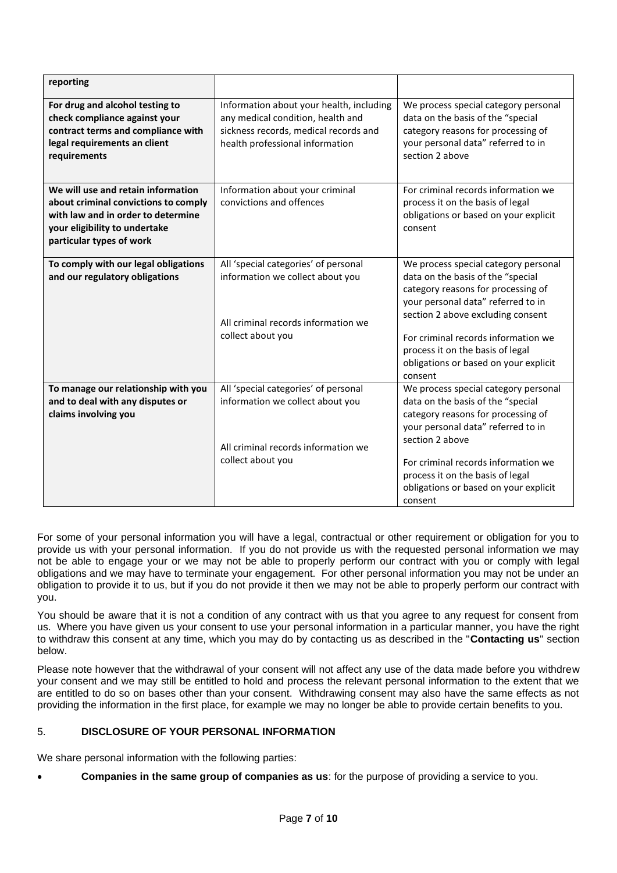| reporting                                                                                                                                                                     |                                                                                                                                                           |                                                                                                                                                                                                                                                                                                                           |
|-------------------------------------------------------------------------------------------------------------------------------------------------------------------------------|-----------------------------------------------------------------------------------------------------------------------------------------------------------|---------------------------------------------------------------------------------------------------------------------------------------------------------------------------------------------------------------------------------------------------------------------------------------------------------------------------|
| For drug and alcohol testing to<br>check compliance against your<br>contract terms and compliance with<br>legal requirements an client<br>requirements                        | Information about your health, including<br>any medical condition, health and<br>sickness records, medical records and<br>health professional information | We process special category personal<br>data on the basis of the "special<br>category reasons for processing of<br>your personal data" referred to in<br>section 2 above                                                                                                                                                  |
| We will use and retain information<br>about criminal convictions to comply<br>with law and in order to determine<br>your eligibility to undertake<br>particular types of work | Information about your criminal<br>convictions and offences                                                                                               | For criminal records information we<br>process it on the basis of legal<br>obligations or based on your explicit<br>consent                                                                                                                                                                                               |
| To comply with our legal obligations<br>and our regulatory obligations                                                                                                        | All 'special categories' of personal<br>information we collect about you<br>All criminal records information we<br>collect about you                      | We process special category personal<br>data on the basis of the "special<br>category reasons for processing of<br>your personal data" referred to in<br>section 2 above excluding consent<br>For criminal records information we<br>process it on the basis of legal<br>obligations or based on your explicit<br>consent |
| To manage our relationship with you<br>and to deal with any disputes or<br>claims involving you                                                                               | All 'special categories' of personal<br>information we collect about you<br>All criminal records information we<br>collect about you                      | We process special category personal<br>data on the basis of the "special<br>category reasons for processing of<br>your personal data" referred to in<br>section 2 above<br>For criminal records information we<br>process it on the basis of legal<br>obligations or based on your explicit<br>consent                   |

For some of your personal information you will have a legal, contractual or other requirement or obligation for you to provide us with your personal information. If you do not provide us with the requested personal information we may not be able to engage your or we may not be able to properly perform our contract with you or comply with legal obligations and we may have to terminate your engagement. For other personal information you may not be under an obligation to provide it to us, but if you do not provide it then we may not be able to properly perform our contract with you.

You should be aware that it is not a condition of any contract with us that you agree to any request for consent from us. Where you have given us your consent to use your personal information in a particular manner, you have the right to withdraw this consent at any time, which you may do by contacting us as described in the "**Contacting us**" section below.

Please note however that the withdrawal of your consent will not affect any use of the data made before you withdrew your consent and we may still be entitled to hold and process the relevant personal information to the extent that we are entitled to do so on bases other than your consent. Withdrawing consent may also have the same effects as not providing the information in the first place, for example we may no longer be able to provide certain benefits to you.

# 5. **DISCLOSURE OF YOUR PERSONAL INFORMATION**

We share personal information with the following parties:

• **Companies in the same group of companies as us**: for the purpose of providing a service to you.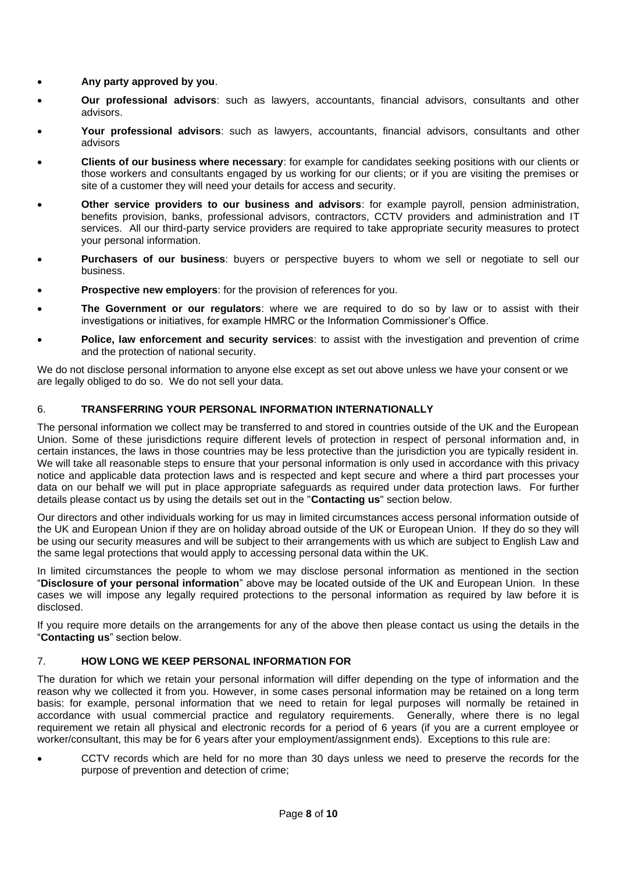- **Any party approved by you**.
- **Our professional advisors**: such as lawyers, accountants, financial advisors, consultants and other advisors.
- **Your professional advisors**: such as lawyers, accountants, financial advisors, consultants and other advisors
- **Clients of our business where necessary**: for example for candidates seeking positions with our clients or those workers and consultants engaged by us working for our clients; or if you are visiting the premises or site of a customer they will need your details for access and security.
- **Other service providers to our business and advisors**: for example payroll, pension administration, benefits provision, banks, professional advisors, contractors, CCTV providers and administration and IT services. All our third-party service providers are required to take appropriate security measures to protect your personal information.
- **Purchasers of our business**: buyers or perspective buyers to whom we sell or negotiate to sell our business.
- **Prospective new employers:** for the provision of references for you.
- **The Government or our regulators**: where we are required to do so by law or to assist with their investigations or initiatives, for example HMRC or the Information Commissioner's Office.
- **Police, law enforcement and security services**: to assist with the investigation and prevention of crime and the protection of national security.

We do not disclose personal information to anyone else except as set out above unless we have your consent or we are legally obliged to do so. We do not sell your data.

## 6. **TRANSFERRING YOUR PERSONAL INFORMATION INTERNATIONALLY**

The personal information we collect may be transferred to and stored in countries outside of the UK and the European Union. Some of these jurisdictions require different levels of protection in respect of personal information and, in certain instances, the laws in those countries may be less protective than the jurisdiction you are typically resident in. We will take all reasonable steps to ensure that your personal information is only used in accordance with this privacy notice and applicable data protection laws and is respected and kept secure and where a third part processes your data on our behalf we will put in place appropriate safeguards as required under data protection laws. For further details please contact us by using the details set out in the "**Contacting us**" section below.

Our directors and other individuals working for us may in limited circumstances access personal information outside of the UK and European Union if they are on holiday abroad outside of the UK or European Union. If they do so they will be using our security measures and will be subject to their arrangements with us which are subject to English Law and the same legal protections that would apply to accessing personal data within the UK.

In limited circumstances the people to whom we may disclose personal information as mentioned in the section "**Disclosure of your personal information**" above may be located outside of the UK and European Union. In these cases we will impose any legally required protections to the personal information as required by law before it is disclosed.

If you require more details on the arrangements for any of the above then please contact us using the details in the "**Contacting us**" section below.

## 7. **HOW LONG WE KEEP PERSONAL INFORMATION FOR**

The duration for which we retain your personal information will differ depending on the type of information and the reason why we collected it from you. However, in some cases personal information may be retained on a long term basis: for example, personal information that we need to retain for legal purposes will normally be retained in accordance with usual commercial practice and regulatory requirements. Generally, where there is no legal requirement we retain all physical and electronic records for a period of 6 years (if you are a current employee or worker/consultant, this may be for 6 years after your employment/assignment ends). Exceptions to this rule are:

• CCTV records which are held for no more than 30 days unless we need to preserve the records for the purpose of prevention and detection of crime;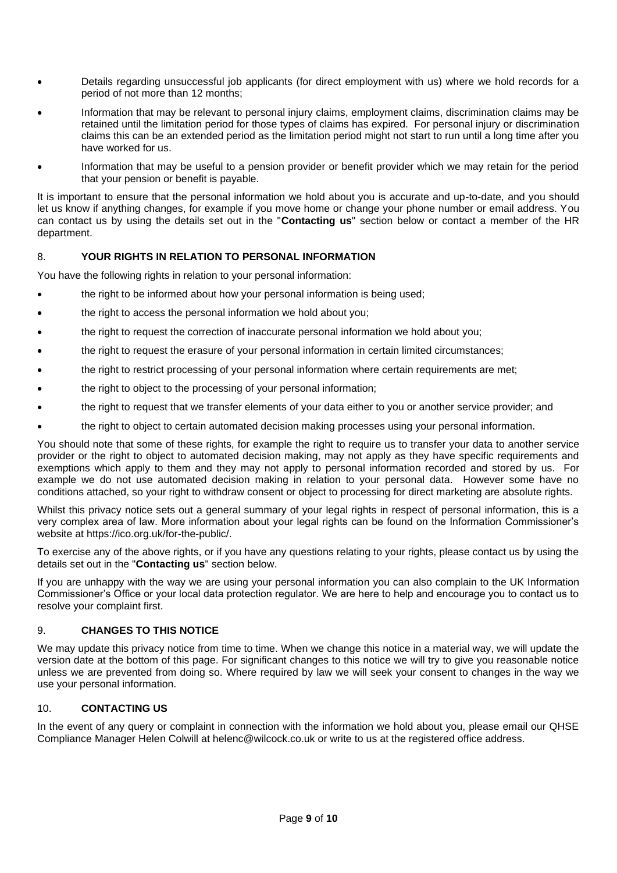- Details regarding unsuccessful job applicants (for direct employment with us) where we hold records for a period of not more than 12 months;
- Information that may be relevant to personal injury claims, employment claims, discrimination claims may be retained until the limitation period for those types of claims has expired. For personal injury or discrimination claims this can be an extended period as the limitation period might not start to run until a long time after you have worked for us.
- Information that may be useful to a pension provider or benefit provider which we may retain for the period that your pension or benefit is payable.

It is important to ensure that the personal information we hold about you is accurate and up-to-date, and you should let us know if anything changes, for example if you move home or change your phone number or email address. You can contact us by using the details set out in the "**Contacting us**" section below or contact a member of the HR department.

# 8. **YOUR RIGHTS IN RELATION TO PERSONAL INFORMATION**

You have the following rights in relation to your personal information:

- the right to be informed about how your personal information is being used;
- the right to access the personal information we hold about you:
- the right to request the correction of inaccurate personal information we hold about you;
- the right to request the erasure of your personal information in certain limited circumstances;
- the right to restrict processing of your personal information where certain requirements are met;
- the right to object to the processing of your personal information;
- the right to request that we transfer elements of your data either to you or another service provider; and
- the right to object to certain automated decision making processes using your personal information.

You should note that some of these rights, for example the right to require us to transfer your data to another service provider or the right to object to automated decision making, may not apply as they have specific requirements and exemptions which apply to them and they may not apply to personal information recorded and stored by us. For example we do not use automated decision making in relation to your personal data. However some have no conditions attached, so your right to withdraw consent or object to processing for direct marketing are absolute rights.

Whilst this privacy notice sets out a general summary of your legal rights in respect of personal information, this is a very complex area of law. More information about your legal rights can be found on the Information Commissioner's website at https://ico.org.uk/for-the-public/.

To exercise any of the above rights, or if you have any questions relating to your rights, please contact us by using the details set out in the "**Contacting us**" section below.

If you are unhappy with the way we are using your personal information you can also complain to the UK Information Commissioner's Office or your local data protection regulator. We are here to help and encourage you to contact us to resolve your complaint first.

## 9. **CHANGES TO THIS NOTICE**

We may update this privacy notice from time to time. When we change this notice in a material way, we will update the version date at the bottom of this page. For significant changes to this notice we will try to give you reasonable notice unless we are prevented from doing so. Where required by law we will seek your consent to changes in the way we use your personal information.

# 10. **CONTACTING US**

In the event of any query or complaint in connection with the information we hold about you, please email our QHSE Compliance Manager Helen Colwill at helenc@wilcock.co.uk or write to us at the registered office address.